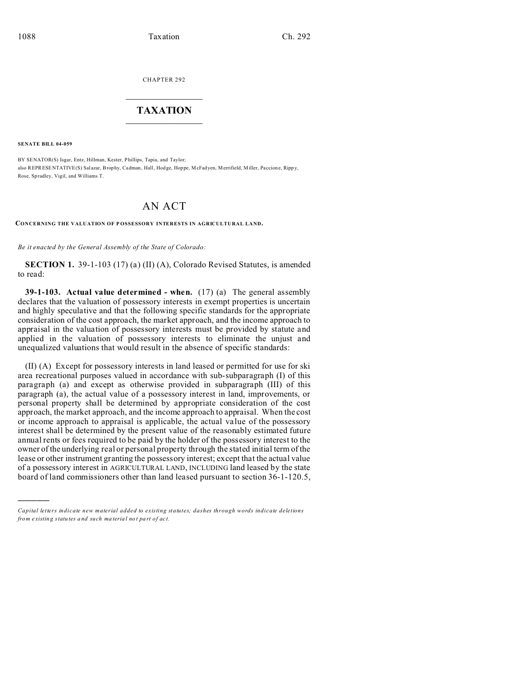CHAPTER 292  $\overline{\phantom{a}}$  , where  $\overline{\phantom{a}}$ 

## **TAXATION**  $\_$

**SENATE BILL 04-059**

)))))

BY SENATOR(S) Isgar, Entz, Hillman, Kester, Phillips, Tapia, and Taylor; also REPRESENTATIVE(S) Sal azar, Brophy, Cadman, Hall, Hod ge, Hoppe, McFadyen, Merrifield, Miller, Pa ccione, Ripp y, Rose, Spradley, Vigil, and Williams T.

## AN ACT

**CONCERNING THE VALUATION OF P OSSESSORY INTERESTS IN AGRICULTURAL LAND.**

*Be it enacted by the General Assembly of the State of Colorado:*

**SECTION 1.** 39-1-103 (17) (a) (II) (A), Colorado Revised Statutes, is amended to read:

**39-1-103. Actual value determined - when.** (17) (a) The general assembly declares that the valuation of possessory interests in exempt properties is uncertain and highly speculative and that the following specific standards for the appropriate consideration of the cost approach, the market approach, and the income approach to appraisal in the valuation of possessory interests must be provided by statute and applied in the valuation of possessory interests to eliminate the unjust and unequalized valuations that would result in the absence of specific standards:

(II) (A) Except for possessory interests in land leased or permitted for use for ski area recreational purposes valued in accordance with sub-subparagraph (I) of this paragraph (a) and except as otherwise provided in subparagraph (III) of this paragraph (a), the actual value of a possessory interest in land, improvements, or personal property shall be determined by appropriate consideration of the cost approach, the market approach, and the income approach to appraisal. When the cost or income approach to appraisal is applicable, the actual value of the possessory interest shall be determined by the present value of the reasonably estimated future annual rents or fees required to be paid by the holder of the possessory interest to the owner of the underlying real or personal property through the stated initial term of the lease or other instrument granting the possessory interest; except that the actual value of a possessory interest in AGRICULTURAL LAND, INCLUDING land leased by the state board of land commissioners other than land leased pursuant to section 36-1-120.5,

*Capital letters indicate new material added to existing statutes; dashes through words indicate deletions from e xistin g statu tes a nd such ma teria l no t pa rt of ac t.*